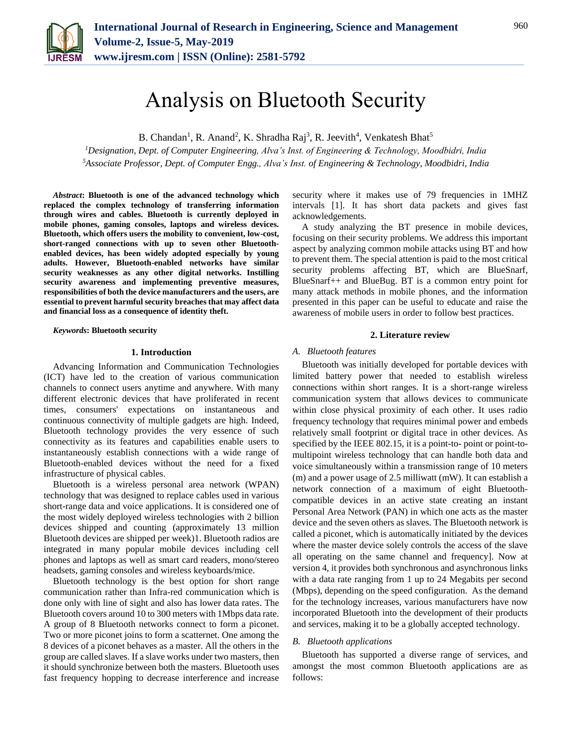

B. Chandan<sup>1</sup>, R. Anand<sup>2</sup>, K. Shradha Raj<sup>3</sup>, R. Jeevith<sup>4</sup>, Venkatesh Bhat<sup>5</sup>

*<sup>1</sup>Designation, Dept. of Computer Engineering, Alva's Inst. of Engineering & Technology, Moodbidri, India <sup>5</sup>Associate Professor, Dept. of Computer Engg., Alva's Inst. of Engineering & Technology, Moodbidri, India*

*Abstract***: Bluetooth is one of the advanced technology which replaced the complex technology of transferring information through wires and cables. Bluetooth is currently deployed in mobile phones, gaming consoles, laptops and wireless devices. Bluetooth, which offers users the mobility to convenient, low-cost, short-ranged connections with up to seven other Bluetoothenabled devices, has been widely adopted especially by young adults. However, Bluetooth-enabled networks have similar security weaknesses as any other digital networks. Instilling security awareness and implementing preventive measures, responsibilities of both the device manufacturers and the users, are essential to prevent harmful security breaches that may affect data and financial loss as a consequence of identity theft.**

*Keywords***: Bluetooth security**

#### **1. Introduction**

Advancing Information and Communication Technologies (ICT) have led to the creation of various communication channels to connect users anytime and anywhere. With many different electronic devices that have proliferated in recent times, consumers' expectations on instantaneous and continuous connectivity of multiple gadgets are high. Indeed, Bluetooth technology provides the very essence of such connectivity as its features and capabilities enable users to instantaneously establish connections with a wide range of Bluetooth-enabled devices without the need for a fixed infrastructure of physical cables.

Bluetooth is a wireless personal area network (WPAN) technology that was designed to replace cables used in various short-range data and voice applications. It is considered one of the most widely deployed wireless technologies with 2 billion devices shipped and counting (approximately 13 million Bluetooth devices are shipped per week)1. Bluetooth radios are integrated in many popular mobile devices including cell phones and laptops as well as smart card readers, mono/stereo headsets, gaming consoles and wireless keyboards/mice.

Bluetooth technology is the best option for short range communication rather than Infra-red communication which is done only with line of sight and also has lower data rates. The Bluetooth covers around 10 to 300 meters with 1Mbps data rate. A group of 8 Bluetooth networks connect to form a piconet. Two or more piconet joins to form a scatternet. One among the 8 devices of a piconet behaves as a master. All the others in the group are called slaves. If a slave works under two masters, then it should synchronize between both the masters. Bluetooth uses fast frequency hopping to decrease interference and increase

security where it makes use of 79 frequencies in 1MHZ intervals [1]. It has short data packets and gives fast acknowledgements.

A study analyzing the BT presence in mobile devices, focusing on their security problems. We address this important aspect by analyzing common mobile attacks using BT and how to prevent them. The special attention is paid to the most critical security problems affecting BT, which are BlueSnarf, BlueSnarf++ and BlueBug. BT is a common entry point for many attack methods in mobile phones, and the information presented in this paper can be useful to educate and raise the awareness of mobile users in order to follow best practices.

### **2. Literature review**

#### *A. Bluetooth features*

Bluetooth was initially developed for portable devices with limited battery power that needed to establish wireless connections within short ranges. It is a short-range wireless communication system that allows devices to communicate within close physical proximity of each other. It uses radio frequency technology that requires minimal power and embeds relatively small footprint or digital trace in other devices. As specified by the IEEE 802.15, it is a point-to- point or point-tomultipoint wireless technology that can handle both data and voice simultaneously within a transmission range of 10 meters (m) and a power usage of 2.5 milliwatt (mW). It can establish a network connection of a maximum of eight Bluetoothcompatible devices in an active state creating an instant Personal Area Network (PAN) in which one acts as the master device and the seven others as slaves. The Bluetooth network is called a piconet, which is automatically initiated by the devices where the master device solely controls the access of the slave all operating on the same channel and frequency]. Now at version 4, it provides both synchronous and asynchronous links with a data rate ranging from 1 up to 24 Megabits per second (Mbps), depending on the speed configuration. As the demand for the technology increases, various manufacturers have now incorporated Bluetooth into the development of their products and services, making it to be a globally accepted technology.

### *B. Bluetooth applications*

Bluetooth has supported a diverse range of services, and amongst the most common Bluetooth applications are as follows: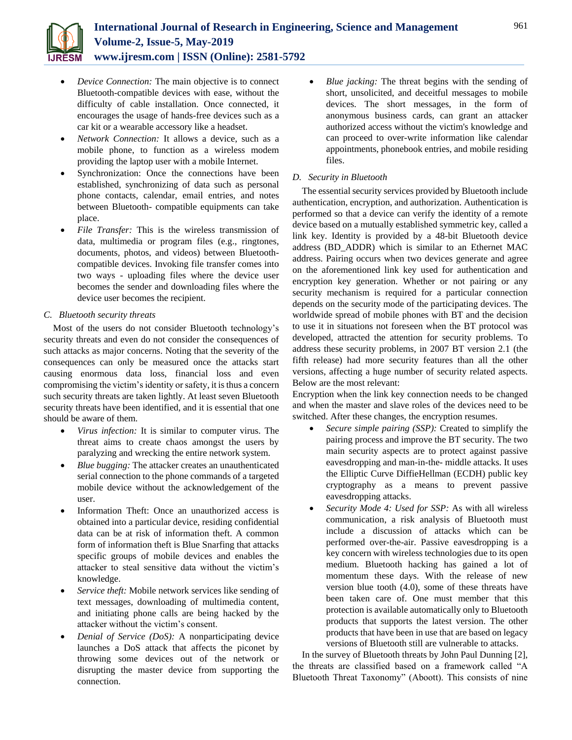

- *Device Connection:* The main objective is to connect Bluetooth-compatible devices with ease, without the difficulty of cable installation. Once connected, it encourages the usage of hands-free devices such as a car kit or a wearable accessory like a headset.
- *Network Connection:* It allows a device, such as a mobile phone, to function as a wireless modem providing the laptop user with a mobile Internet.
- Synchronization: Once the connections have been established, synchronizing of data such as personal phone contacts, calendar, email entries, and notes between Bluetooth- compatible equipments can take place.
- *File Transfer:* This is the wireless transmission of data, multimedia or program files (e.g., ringtones, documents, photos, and videos) between Bluetoothcompatible devices. Invoking file transfer comes into two ways - uploading files where the device user becomes the sender and downloading files where the device user becomes the recipient.

# *C. Bluetooth security threats*

Most of the users do not consider Bluetooth technology's security threats and even do not consider the consequences of such attacks as major concerns. Noting that the severity of the consequences can only be measured once the attacks start causing enormous data loss, financial loss and even compromising the victim's identity or safety, it is thus a concern such security threats are taken lightly. At least seven Bluetooth security threats have been identified, and it is essential that one should be aware of them.

- *Virus infection:* It is similar to computer virus. The threat aims to create chaos amongst the users by paralyzing and wrecking the entire network system.
- *Blue bugging:* The attacker creates an unauthenticated serial connection to the phone commands of a targeted mobile device without the acknowledgement of the user.
- Information Theft: Once an unauthorized access is obtained into a particular device, residing confidential data can be at risk of information theft. A common form of information theft is Blue Snarfing that attacks specific groups of mobile devices and enables the attacker to steal sensitive data without the victim's knowledge.
- *Service theft:* Mobile network services like sending of text messages, downloading of multimedia content, and initiating phone calls are being hacked by the attacker without the victim's consent.
- *Denial of Service (DoS):* A nonparticipating device launches a DoS attack that affects the piconet by throwing some devices out of the network or disrupting the master device from supporting the connection.

 *Blue jacking:* The threat begins with the sending of short, unsolicited, and deceitful messages to mobile devices. The short messages, in the form of anonymous business cards, can grant an attacker authorized access without the victim's knowledge and can proceed to over-write information like calendar appointments, phonebook entries, and mobile residing files.

# *D. Security in Bluetooth*

The essential security services provided by Bluetooth include authentication, encryption, and authorization. Authentication is performed so that a device can verify the identity of a remote device based on a mutually established symmetric key, called a link key. Identity is provided by a 48-bit Bluetooth device address (BD\_ADDR) which is similar to an Ethernet MAC address. Pairing occurs when two devices generate and agree on the aforementioned link key used for authentication and encryption key generation. Whether or not pairing or any security mechanism is required for a particular connection depends on the security mode of the participating devices. The worldwide spread of mobile phones with BT and the decision to use it in situations not foreseen when the BT protocol was developed, attracted the attention for security problems. To address these security problems, in 2007 BT version 2.1 (the fifth release) had more security features than all the other versions, affecting a huge number of security related aspects. Below are the most relevant:

Encryption when the link key connection needs to be changed and when the master and slave roles of the devices need to be switched. After these changes, the encryption resumes.

- *Secure simple pairing (SSP):* Created to simplify the pairing process and improve the BT security. The two main security aspects are to protect against passive eavesdropping and man-in-the- middle attacks. It uses the Elliptic Curve DiffieHellman (ECDH) public key cryptography as a means to prevent passive eavesdropping attacks.
- *Security Mode 4: Used for SSP:* As with all wireless communication, a risk analysis of Bluetooth must include a discussion of attacks which can be performed over-the-air. Passive eavesdropping is a key concern with wireless technologies due to its open medium. Bluetooth hacking has gained a lot of momentum these days. With the release of new version blue tooth (4.0), some of these threats have been taken care of. One must member that this protection is available automatically only to Bluetooth products that supports the latest version. The other products that have been in use that are based on legacy versions of Bluetooth still are vulnerable to attacks.

In the survey of Bluetooth threats by John Paul Dunning [2], the threats are classified based on a framework called "A Bluetooth Threat Taxonomy" (Aboott). This consists of nine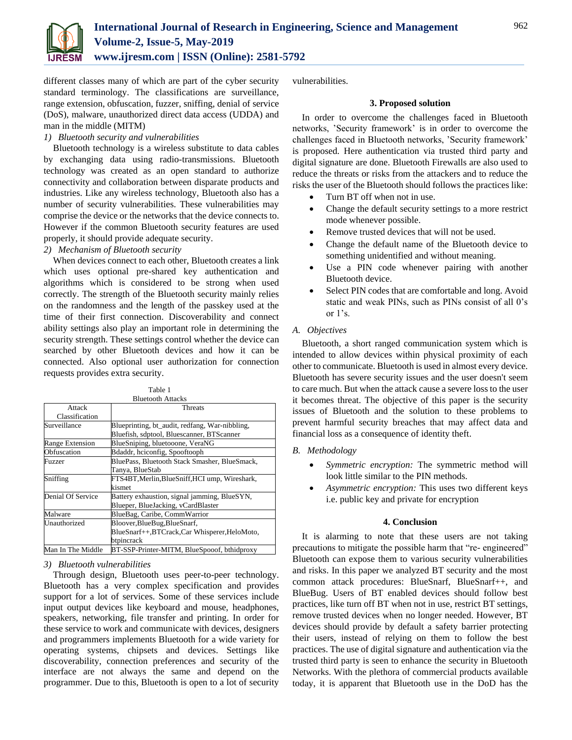

different classes many of which are part of the cyber security standard terminology. The classifications are surveillance, range extension, obfuscation, fuzzer, sniffing, denial of service (DoS), malware, unauthorized direct data access (UDDA) and man in the middle (MITM)

# *1) Bluetooth security and vulnerabilities*

Bluetooth technology is a wireless substitute to data cables by exchanging data using radio-transmissions. Bluetooth technology was created as an open standard to authorize connectivity and collaboration between disparate products and industries. Like any wireless technology, Bluetooth also has a number of security vulnerabilities. These vulnerabilities may comprise the device or the networks that the device connects to. However if the common Bluetooth security features are used properly, it should provide adequate security.

## *2) Mechanism of Bluetooth security*

When devices connect to each other, Bluetooth creates a link which uses optional pre-shared key authentication and algorithms which is considered to be strong when used correctly. The strength of the Bluetooth security mainly relies on the randomness and the length of the passkey used at the time of their first connection. Discoverability and connect ability settings also play an important role in determining the security strength. These settings control whether the device can searched by other Bluetooth devices and how it can be connected. Also optional user authorization for connection requests provides extra security.

| anie<br><br>۰. | $\sim$ |  |
|----------------|--------|--|
|                |        |  |

|                   | <b>Bluetooth Attacks</b>                        |  |
|-------------------|-------------------------------------------------|--|
| Attack            | <b>Threats</b>                                  |  |
| Classification    |                                                 |  |
| Surveillance      | Blueprinting, bt_audit, redfang, War-nibbling,  |  |
|                   | Bluefish, sdptool, Bluescanner, BTScanner       |  |
| Range Extension   | BlueSniping, bluetooone, VeraNG                 |  |
| Obfuscation       | Bdaddr, hciconfig, Spooftooph                   |  |
| Fuzzer            | BluePass, Bluetooth Stack Smasher, BlueSmack,   |  |
|                   | Tanya, BlueStab                                 |  |
| Sniffing          | FTS4BT, Merlin, Blue Sniff, HCI ump, Wireshark, |  |
|                   | kismet                                          |  |
| Denial Of Service | Battery exhaustion, signal jamming, BlueSYN,    |  |
|                   | Blueper, BlueJacking, vCardBlaster              |  |
| Malware           | BlueBag, Caribe, CommWarrior                    |  |
| Unauthorized      | Bloover, BlueBug, BlueSnarf,                    |  |
|                   | BlueSnarf++,BTCrack,Car Whisperer,HeloMoto,     |  |
|                   | btpincrack                                      |  |
| Man In The Middle | BT-SSP-Printer-MITM, BlueSpooof, bthidproxy     |  |

# *3) Bluetooth vulnerabilities*

Through design, Bluetooth uses peer-to-peer technology. Bluetooth has a very complex specification and provides support for a lot of services. Some of these services include input output devices like keyboard and mouse, headphones, speakers, networking, file transfer and printing. In order for these service to work and communicate with devices, designers and programmers implements Bluetooth for a wide variety for operating systems, chipsets and devices. Settings like discoverability, connection preferences and security of the interface are not always the same and depend on the programmer. Due to this, Bluetooth is open to a lot of security vulnerabilities.

## **3. Proposed solution**

In order to overcome the challenges faced in Bluetooth networks, 'Security framework' is in order to overcome the challenges faced in Bluetooth networks, 'Security framework' is proposed. Here authentication via trusted third party and digital signature are done. Bluetooth Firewalls are also used to reduce the threats or risks from the attackers and to reduce the risks the user of the Bluetooth should follows the practices like:

- Turn BT off when not in use.
- Change the default security settings to a more restrict mode whenever possible.
- Remove trusted devices that will not be used.
- Change the default name of the Bluetooth device to something unidentified and without meaning.
- Use a PIN code whenever pairing with another Bluetooth device.
- Select PIN codes that are comfortable and long. Avoid static and weak PINs, such as PINs consist of all 0's or 1's.

# *A. Objectives*

Bluetooth, a short ranged communication system which is intended to allow devices within physical proximity of each other to communicate. Bluetooth is used in almost every device. Bluetooth has severe security issues and the user doesn't seem to care much. But when the attack cause a severe loss to the user it becomes threat. The objective of this paper is the security issues of Bluetooth and the solution to these problems to prevent harmful security breaches that may affect data and financial loss as a consequence of identity theft.

- *B. Methodology*
	- *Symmetric encryption:* The symmetric method will look little similar to the PIN methods.
	- *Asymmetric encryption:* This uses two different keys i.e. public key and private for encryption

## **4. Conclusion**

It is alarming to note that these users are not taking precautions to mitigate the possible harm that "re- engineered" Bluetooth can expose them to various security vulnerabilities and risks. In this paper we analyzed BT security and the most common attack procedures: BlueSnarf, BlueSnarf++, and BlueBug. Users of BT enabled devices should follow best practices, like turn off BT when not in use, restrict BT settings, remove trusted devices when no longer needed. However, BT devices should provide by default a safety barrier protecting their users, instead of relying on them to follow the best practices. The use of digital signature and authentication via the trusted third party is seen to enhance the security in Bluetooth Networks. With the plethora of commercial products available today, it is apparent that Bluetooth use in the DoD has the